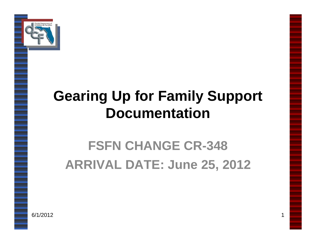

#### **Gearing Up for Family Support Documentation**

# **FSFN CHANGE CR-348 ARRIVAL DATE: June 25, 2012**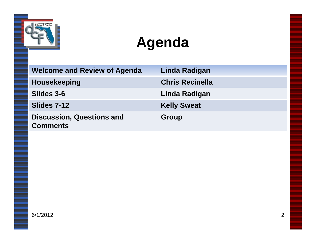

#### **Agenda**

| <b>Welcome and Review of Agenda</b>                 | Linda Radigan          |
|-----------------------------------------------------|------------------------|
| <b>Housekeeping</b>                                 | <b>Chris Recinella</b> |
| Slides 3-6                                          | Linda Radigan          |
| Slides 7-12                                         | <b>Kelly Sweat</b>     |
| <b>Discussion, Questions and</b><br><b>Comments</b> | Group                  |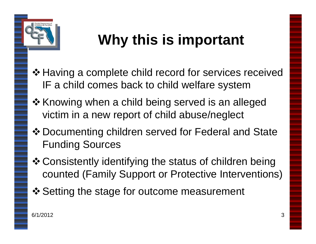

# **Why this is important**

- $\triangle$  **Having a complete child record for services received** IF a child comes back to child welfare system
- ❖ Knowing when a child being served is an alleged victim in a new report of child abuse/neglect
- Documenting children served for Federal and State Funding Sources
- Consistently identifying the status of children being counted (Family Support or Protective Interventions)
- ❖ Setting the stage for outcome measurement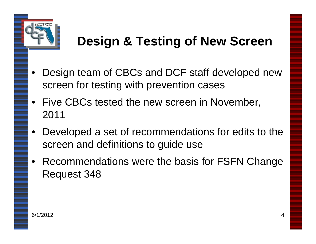

#### **Design & Testing of New Screen**

- Design team of CBCs and DCF staff developed new screen for testing with prevention cases
- Five CBCs tested the new screen in November, 2011
- Developed a set of recommendations for edits to the screen and definitions to guide use
- Recommendations were the basis for FSFN Change Request 348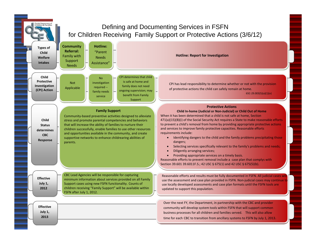#### Defining and Documenting Services in FSFN for Children Receiving Family Support or Protective Actions (3/6/12)

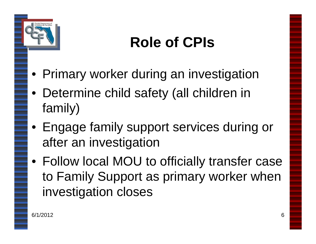

# **Role of CPIs**

- Primary worker during an investigation
- Determine child safety (all children in family)
- Engage family support services during or after an investigation
- Follow local MOU to officially transfer case to Family Support as primary worker when investigation closes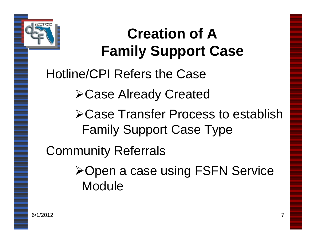

# **Creation of A Family Support Case**

Hotline/CPI Refers the Case

Case Already Created

Case Transfer Process to establish Family Support Case Type

Community Referrals

**≻Open a case using FSFN Service** Module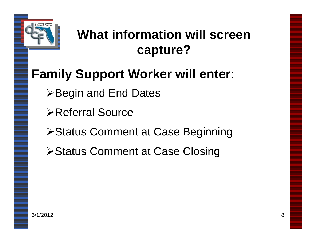

#### **What information will screen capture?**

#### **Family Support Worker will enter**:

- **≻Begin and End Dates**
- Referral Source
- **≻Status Comment at Case Beginning**
- **≻Status Comment at Case Closing**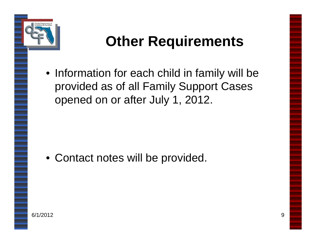

#### **Other Requirements**

• Information for each child in family will be provided as of all Family Support Cases opened on or after July 1, 2012.

• Contact notes will be provided.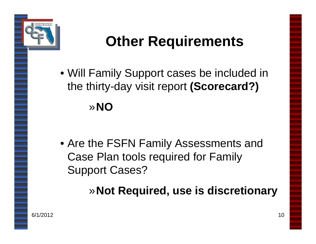

# **Other Requirements**

• Will Family Support cases be included in the thirty-day visit report **(Scorecard?)** »**NO**

• Are the FSFN Family Assessments and Case Plan tools required for Family Support Cases?

»**Not Required, use is discretionary**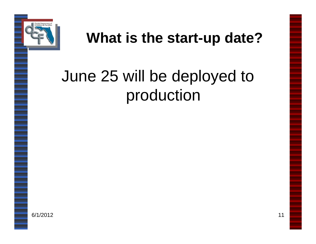

#### **What is the start-up date?**

# June 25 will be deployed to production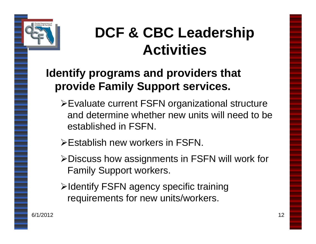

#### **DCF & CBC Leadership Activities**

#### **Identify programs and providers that provide Family Support services.**

- Evaluate current FSFN organizational structure and determine whether new units will need to be established in FSFN.
- Establish new workers in FSFN.
- Discuss how assignments in FSFN will work for Family Support workers.
- >Identify FSFN agency specific training requirements for new units/workers.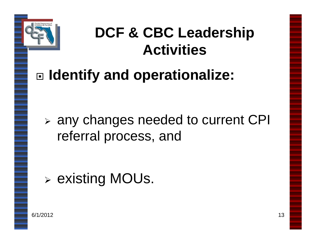

#### **DCF & CBC Leadership Activities**

# **Identify and operationalize:**

 any changes needed to current CPI referral process, and

existing MOUs.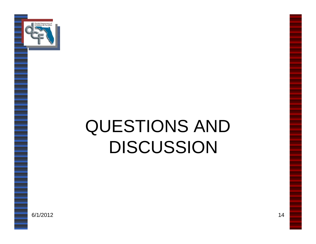

# QUESTIONS AND DISCUSSION